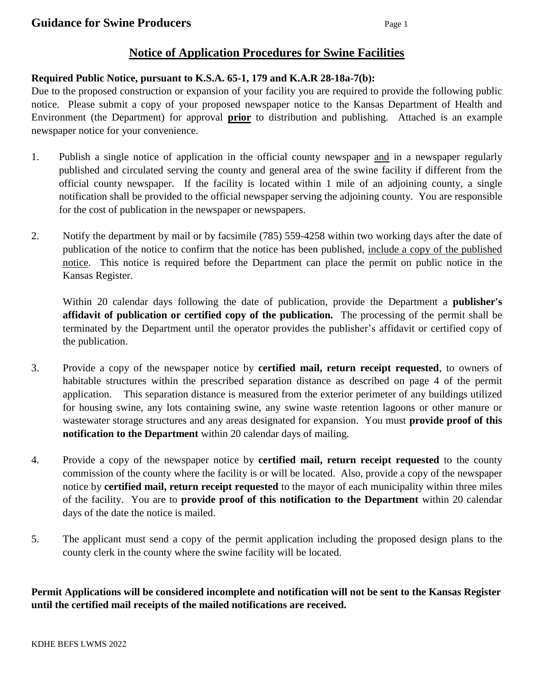# **Notice of Application Procedures for Swine Facilities**

### **Required Public Notice, pursuant to K.S.A. 65-1, 179 and K.A.R 28-18a-7(b):**

Due to the proposed construction or expansion of your facility you are required to provide the following public notice. Please submit a copy of your proposed newspaper notice to the Kansas Department of Health and Environment (the Department) for approval **prior** to distribution and publishing. Attached is an example newspaper notice for your convenience.

- 1. Publish a single notice of application in the official county newspaper and in a newspaper regularly published and circulated serving the county and general area of the swine facility if different from the official county newspaper. If the facility is located within 1 mile of an adjoining county, a single notification shall be provided to the official newspaper serving the adjoining county. You are responsible for the cost of publication in the newspaper or newspapers.
- 2. Notify the department by mail or by facsimile (785) 559-4258 within two working days after the date of publication of the notice to confirm that the notice has been published, include a copy of the published notice. This notice is required before the Department can place the permit on public notice in the Kansas Register.

Within 20 calendar days following the date of publication, provide the Department a **publisher's affidavit of publication or certified copy of the publication.** The processing of the permit shall be terminated by the Department until the operator provides the publisher's affidavit or certified copy of the publication.

- 3. Provide a copy of the newspaper notice by **certified mail, return receipt requested**, to owners of habitable structures within the prescribed separation distance as described on page 4 of the permit application. This separation distance is measured from the exterior perimeter of any buildings utilized for housing swine, any lots containing swine, any swine waste retention lagoons or other manure or wastewater storage structures and any areas designated for expansion. You must **provide proof of this notification to the Department** within 20 calendar days of mailing.
- 4. Provide a copy of the newspaper notice by **certified mail, return receipt requested** to the county commission of the county where the facility is or will be located. Also, provide a copy of the newspaper notice by **certified mail, return receipt requested** to the mayor of each municipality within three miles of the facility. You are to **provide proof of this notification to the Department** within 20 calendar days of the date the notice is mailed.
- 5. The applicant must send a copy of the permit application including the proposed design plans to the county clerk in the county where the swine facility will be located.

**Permit Applications will be considered incomplete and notification will not be sent to the Kansas Register until the certified mail receipts of the mailed notifications are received.**